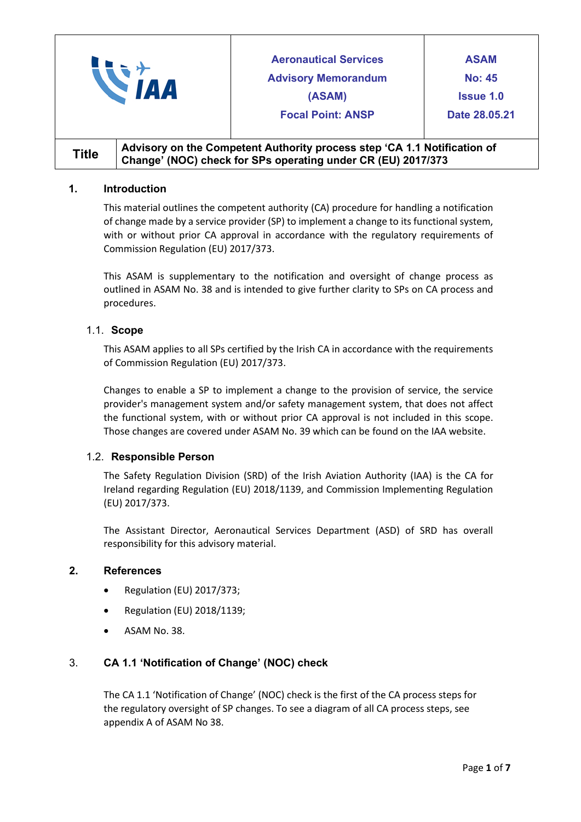|              |  | <b>Aeronautical Services</b><br><b>Advisory Memorandum</b><br>(ASAM)<br><b>Focal Point: ANSP</b>                                         | <b>ASAM</b><br><b>No: 45</b><br><b>Issue 1.0</b><br>Date 28,05,21 |
|--------------|--|------------------------------------------------------------------------------------------------------------------------------------------|-------------------------------------------------------------------|
| <b>Title</b> |  | Advisory on the Competent Authority process step 'CA 1.1 Notification of<br>Change' (NOC) check for SPs operating under CR (EU) 2017/373 |                                                                   |

## **1. Introduction**

This material outlines the competent authority (CA) procedure for handling a notification of change made by a service provider (SP) to implement a change to its functional system, with or without prior CA approval in accordance with the regulatory requirements of Commission Regulation (EU) 2017/373.

This ASAM is supplementary to the notification and oversight of change process as outlined in ASAM No. 38 and is intended to give further clarity to SPs on CA process and procedures.

# 1.1. **Scope**

This ASAM applies to all SPs certified by the Irish CA in accordance with the requirements of Commission Regulation (EU) 2017/373.

Changes to enable a SP to implement a change to the provision of service, the service provider's management system and/or safety management system, that does not affect the functional system, with or without prior CA approval is not included in this scope. Those changes are covered under ASAM No. 39 which can be found on the IAA website.

# 1.2. **Responsible Person**

The Safety Regulation Division (SRD) of the Irish Aviation Authority (IAA) is the CA for Ireland regarding Regulation (EU) 2018/1139, and Commission Implementing Regulation (EU) 2017/373.

The Assistant Director, Aeronautical Services Department (ASD) of SRD has overall responsibility for this advisory material.

## **2. References**

- Regulation (EU) 2017/373;
- Regulation (EU) 2018/1139;
- ASAM No. 38.

# 3. **CA 1.1 'Notification of Change' (NOC) check**

The CA 1.1 'Notification of Change' (NOC) check is the first of the CA process steps for the regulatory oversight of SP changes. To see a diagram of all CA process steps, see appendix A of ASAM No 38.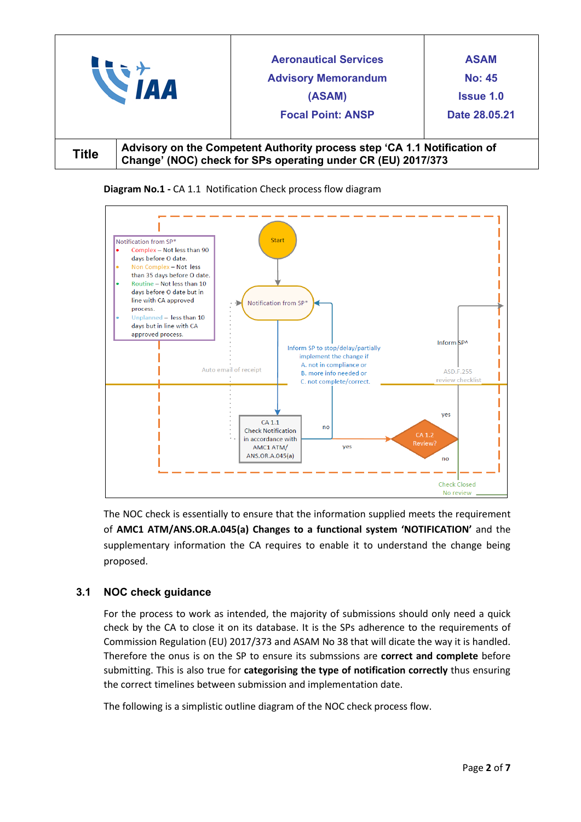|              |                                                                                                                                          | <b>Aeronautical Services</b><br><b>Advisory Memorandum</b><br>(ASAM)<br><b>Focal Point: ANSP</b> | <b>ASAM</b><br><b>No: 45</b><br><b>Issue 1.0</b><br>Date 28,05,21 |
|--------------|------------------------------------------------------------------------------------------------------------------------------------------|--------------------------------------------------------------------------------------------------|-------------------------------------------------------------------|
| <b>Title</b> | Advisory on the Competent Authority process step 'CA 1.1 Notification of<br>Change' (NOC) check for SPs operating under CR (EU) 2017/373 |                                                                                                  |                                                                   |





The NOC check is essentially to ensure that the information supplied meets the requirement of **AMC1 ATM/ANS.OR.A.045(a) Changes to a functional system 'NOTIFICATION'** and the supplementary information the CA requires to enable it to understand the change being proposed.

# **3.1 NOC check guidance**

For the process to work as intended, the majority of submissions should only need a quick check by the CA to close it on its database. It is the SPs adherence to the requirements of Commission Regulation (EU) 2017/373 and ASAM No 38 that will dicate the way it is handled. Therefore the onus is on the SP to ensure its submssions are **correct and complete** before submitting. This is also true for **categorising the type of notification correctly** thus ensuring the correct timelines between submission and implementation date.

The following is a simplistic outline diagram of the NOC check process flow.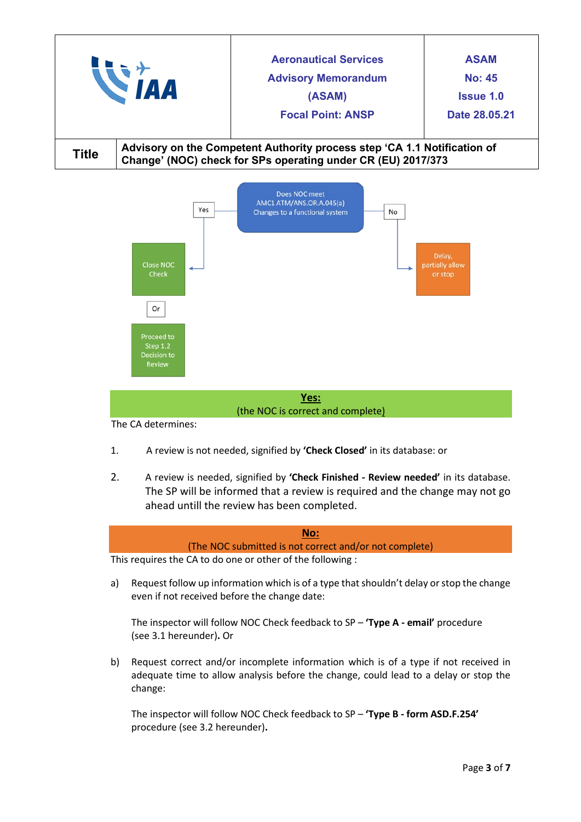|              |                                                                                                                                          | <b>Aeronautical Services</b><br><b>Advisory Memorandum</b><br>(ASAM)<br><b>Focal Point: ANSP</b> | <b>ASAM</b><br><b>No: 45</b><br><b>Issue 1.0</b><br>Date 28.05.21 |
|--------------|------------------------------------------------------------------------------------------------------------------------------------------|--------------------------------------------------------------------------------------------------|-------------------------------------------------------------------|
| <b>Title</b> | Advisory on the Competent Authority process step 'CA 1.1 Notification of<br>Change' (NOC) check for SPs operating under CR (EU) 2017/373 |                                                                                                  |                                                                   |



The CA determines:

- 1. A review is not needed, signified by **'Check Closed'** in its database: or
- 2. A review is needed, signified by **'Check Finished - Review needed'** in its database. The SP will be informed that a review is required and the change may not go ahead untill the review has been completed.



a) Request follow up information which is of a type that shouldn't delay or stop the change even if not received before the change date:

The inspector will follow NOC Check feedback to SP – **'Type A - email'** procedure (see 3.1 hereunder)**.** Or

b) Request correct and/or incomplete information which is of a type if not received in adequate time to allow analysis before the change, could lead to a delay or stop the change:

The inspector will follow NOC Check feedback to SP – **'Type B - form ASD.F.254'** procedure (see 3.2 hereunder)**.**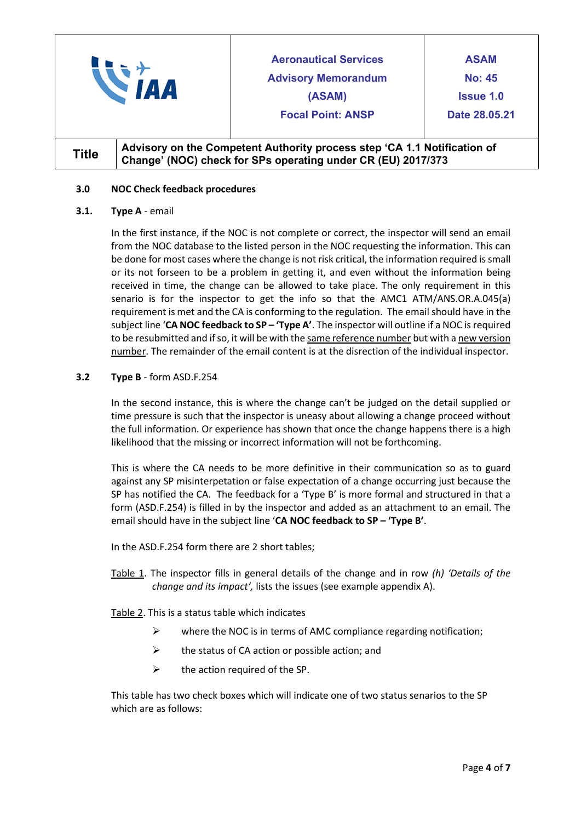|              |  | <b>Aeronautical Services</b><br><b>Advisory Memorandum</b><br>(ASAM)<br><b>Focal Point: ANSP</b>                                         | <b>ASAM</b><br><b>No: 45</b><br><b>Issue 1.0</b><br>Date 28,05,21 |
|--------------|--|------------------------------------------------------------------------------------------------------------------------------------------|-------------------------------------------------------------------|
| <b>Title</b> |  | Advisory on the Competent Authority process step 'CA 1.1 Notification of<br>Change' (NOC) check for SPs operating under CR (EU) 2017/373 |                                                                   |

#### **3.0 NOC Check feedback procedures**

#### **3.1. Type A** - email

In the first instance, if the NOC is not complete or correct, the inspector will send an email from the NOC database to the listed person in the NOC requesting the information. This can be done for most cases where the change is not risk critical, the information required is small or its not forseen to be a problem in getting it, and even without the information being received in time, the change can be allowed to take place. The only requirement in this senario is for the inspector to get the info so that the AMC1 ATM/ANS.OR.A.045(a) requirement is met and the CA is conforming to the regulation. The email should have in the subject line '**CA NOC feedback to SP – 'Type A'**. The inspector will outline if a NOC is required to be resubmitted and if so, it will be with the same reference number but with a new version number. The remainder of the email content is at the disrection of the individual inspector.

#### **3.2 Type B** - form ASD.F.254

In the second instance, this is where the change can't be judged on the detail supplied or time pressure is such that the inspector is uneasy about allowing a change proceed without the full information. Or experience has shown that once the change happens there is a high likelihood that the missing or incorrect information will not be forthcoming.

This is where the CA needs to be more definitive in their communication so as to guard against any SP misinterpetation or false expectation of a change occurring just because the SP has notified the CA. The feedback for a 'Type B' is more formal and structured in that a form (ASD.F.254) is filled in by the inspector and added as an attachment to an email. The email should have in the subject line '**CA NOC feedback to SP – 'Type B'**.

In the ASD.F.254 form there are 2 short tables;

Table 1. The inspector fills in general details of the change and in row *(h) 'Details of the change and its impact',* lists the issues (see example appendix A).

Table 2. This is a status table which indicates

- $\triangleright$  where the NOC is in terms of AMC compliance regarding notification;
- $\triangleright$  the status of CA action or possible action; and
- $\triangleright$  the action required of the SP.

This table has two check boxes which will indicate one of two status senarios to the SP which are as follows: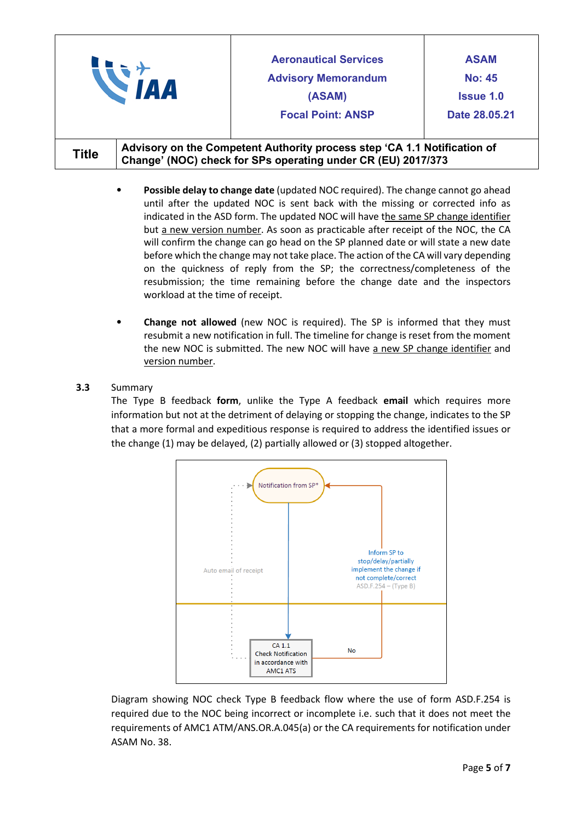| <b>AA</b>    |                                                                                                                                          | <b>Aeronautical Services</b><br><b>Advisory Memorandum</b><br>(ASAM)<br><b>Focal Point: ANSP</b> | <b>ASAM</b><br><b>No: 45</b><br><b>Issue 1.0</b><br>Date 28,05,21 |
|--------------|------------------------------------------------------------------------------------------------------------------------------------------|--------------------------------------------------------------------------------------------------|-------------------------------------------------------------------|
| <b>Title</b> | Advisory on the Competent Authority process step 'CA 1.1 Notification of<br>Change' (NOC) check for SPs operating under CR (EU) 2017/373 |                                                                                                  |                                                                   |

- **Possible delay to change date** (updated NOC required). The change cannot go ahead until after the updated NOC is sent back with the missing or corrected info as indicated in the ASD form. The updated NOC will have the same SP change identifier but a new version number. As soon as practicable after receipt of the NOC, the CA will confirm the change can go head on the SP planned date or will state a new date before which the change may not take place. The action of the CA will vary depending on the quickness of reply from the SP; the correctness/completeness of the resubmission; the time remaining before the change date and the inspectors workload at the time of receipt.
- **Change not allowed** (new NOC is required). The SP is informed that they must resubmit a new notification in full. The timeline for change is reset from the moment the new NOC is submitted. The new NOC will have a new SP change identifier and version number.

## **3.3** Summary

The Type B feedback **form**, unlike the Type A feedback **email** which requires more information but not at the detriment of delaying or stopping the change, indicates to the SP that a more formal and expeditious response is required to address the identified issues or the change (1) may be delayed, (2) partially allowed or (3) stopped altogether.



Diagram showing NOC check Type B feedback flow where the use of form ASD.F.254 is required due to the NOC being incorrect or incomplete i.e. such that it does not meet the requirements of AMC1 ATM/ANS.OR.A.045(a) or the CA requirements for notification under ASAM No. 38.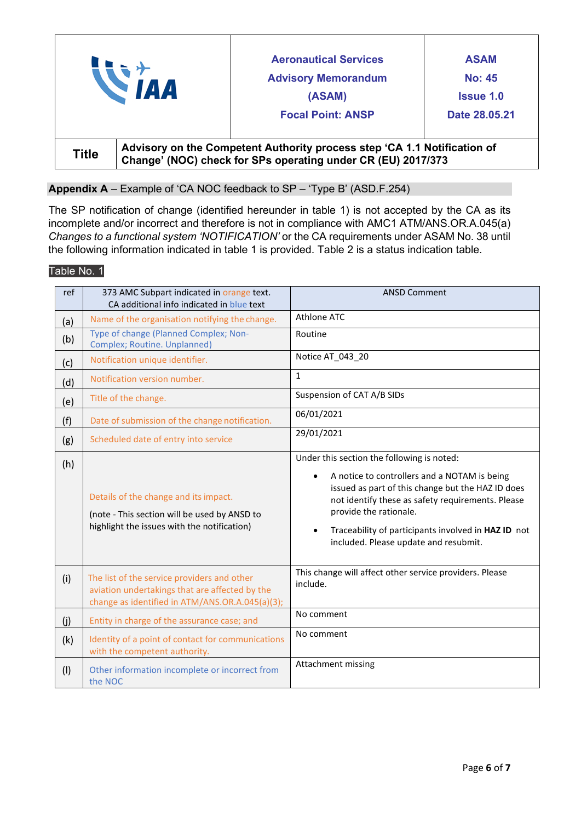|              | <b>IAA</b> | <b>Aeronautical Services</b><br><b>Advisory Memorandum</b><br>(ASAM)<br><b>Focal Point: ANSP</b>                                         | <b>ASAM</b><br><b>No: 45</b><br><b>Issue 1.0</b><br>Date 28,05,21 |
|--------------|------------|------------------------------------------------------------------------------------------------------------------------------------------|-------------------------------------------------------------------|
| <b>Title</b> |            | Advisory on the Competent Authority process step 'CA 1.1 Notification of<br>Change' (NOC) check for SPs operating under CR (EU) 2017/373 |                                                                   |

# **Appendix A** – Example of 'CA NOC feedback to SP – 'Type B' (ASD.F.254)

The SP notification of change (identified hereunder in table 1) is not accepted by the CA as its incomplete and/or incorrect and therefore is not in compliance with AMC1 ATM/ANS.OR.A.045(a) *Changes to a functional system 'NOTIFICATION'* or the CA requirements under ASAM No. 38 until the following information indicated in table 1 is provided. Table 2 is a status indication table.

## Table No. 1

| ref | 373 AMC Subpart indicated in orange text.<br>CA additional info indicated in blue text                                                           | <b>ANSD Comment</b>                                                                                                                                                                                                                                                                                                                                      |
|-----|--------------------------------------------------------------------------------------------------------------------------------------------------|----------------------------------------------------------------------------------------------------------------------------------------------------------------------------------------------------------------------------------------------------------------------------------------------------------------------------------------------------------|
| (a) | Name of the organisation notifying the change.                                                                                                   | Athlone ATC                                                                                                                                                                                                                                                                                                                                              |
| (b) | Type of change (Planned Complex; Non-<br>Complex; Routine. Unplanned)                                                                            | Routine                                                                                                                                                                                                                                                                                                                                                  |
| (c) | Notification unique identifier.                                                                                                                  | Notice AT 043 20                                                                                                                                                                                                                                                                                                                                         |
| (d) | Notification version number.                                                                                                                     | $\mathbf{1}$                                                                                                                                                                                                                                                                                                                                             |
| (e) | Title of the change.                                                                                                                             | Suspension of CAT A/B SIDs                                                                                                                                                                                                                                                                                                                               |
| (f) | Date of submission of the change notification.                                                                                                   | 06/01/2021                                                                                                                                                                                                                                                                                                                                               |
| (g) | Scheduled date of entry into service                                                                                                             | 29/01/2021                                                                                                                                                                                                                                                                                                                                               |
| (h) | Details of the change and its impact.<br>(note - This section will be used by ANSD to<br>highlight the issues with the notification)             | Under this section the following is noted:<br>A notice to controllers and a NOTAM is being<br>$\bullet$<br>issued as part of this change but the HAZ ID does<br>not identify these as safety requirements. Please<br>provide the rationale.<br>Traceability of participants involved in HAZ ID not<br>$\bullet$<br>included. Please update and resubmit. |
| (i) | The list of the service providers and other<br>aviation undertakings that are affected by the<br>change as identified in ATM/ANS.OR.A.045(a)(3); | This change will affect other service providers. Please<br>include.                                                                                                                                                                                                                                                                                      |
| (j) | Entity in charge of the assurance case; and                                                                                                      | No comment                                                                                                                                                                                                                                                                                                                                               |
| (k) | Identity of a point of contact for communications<br>with the competent authority.                                                               | No comment                                                                                                                                                                                                                                                                                                                                               |
| (1) | Other information incomplete or incorrect from<br>the NOC                                                                                        | Attachment missing                                                                                                                                                                                                                                                                                                                                       |